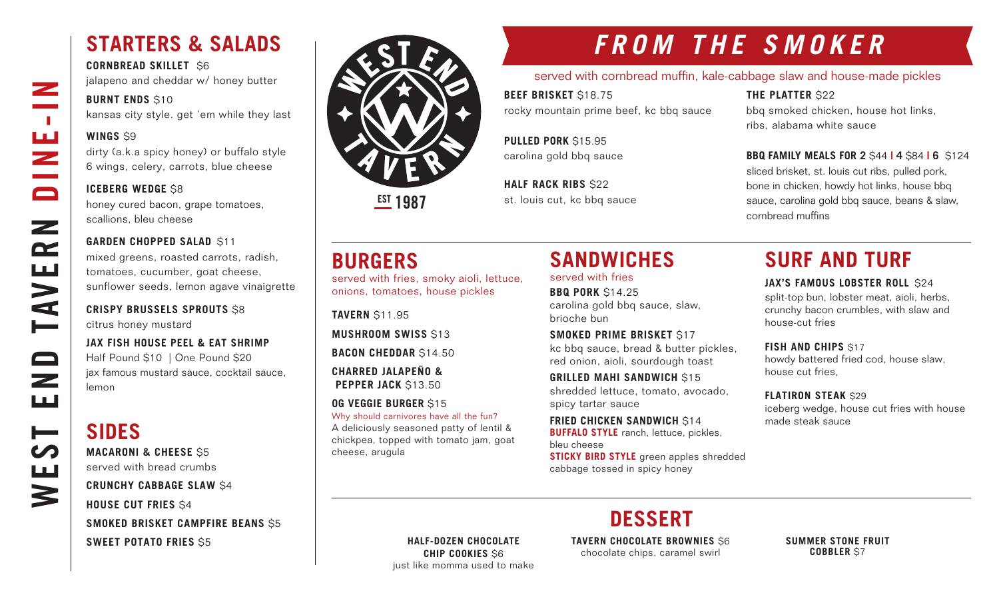### **STARTERS & SALADS**

**CORNBREAD SKILLET** \$6 jalapeno and cheddar w/ honey butter

#### **BURNT ENDS \$10**

kansas city style. get 'em while they last

#### **WINGS** \$9

WEST END TAVERN DINE-IN

Z

 $\sim 10$ 

ш<br>Z

 $\Box$ 

 $\mathbf{z}$ 

 $\mathbf{r}$ 

**AVE** 

 $\qquad \qquad \Box$ 

 $\overline{\phantom{0}}$ ш

⊨

щ

3

dirty (a.k.a spicy honey) or buffalo style 6 wings, celery, carrots, blue cheese

#### **ICEBERG WEDGE \$8**

honey cured bacon, grape tomatoes, scallions, bleu cheese

#### **GARDEN CHOPPED SALAD \$11**

mixed greens, roasted carrots, radish, tomatoes, cucumber, goat cheese, sunflower seeds, lemon agave vinaigrette

#### **CRISPY BRUSSELS SPROUTS** \$8 citrus honey mustard

**JAX FISH HOUSE PEEL & EAT SHRIMP** Half Pound \$10 | One Pound \$20 jax famous mustard sauce, cocktail sauce, lemon

### **SIDES**

**MACARONI & CHEESE** \$5 served with bread crumbs

### **CRUNCHY CABBAGE SLAW** \$4

**HOUSE CUT FRIES** \$4 **SMOKED BRISKET CAMPFIRE BEANS** \$5

**SWEET POTATO FRIES** \$5



**EST 1987** 

## **FROM THE SMOKER**

### served with cornbread muffin, kale-cabbage slaw and house-made pickles

**BEEF BRISKET** \$18.75 rocky mountain prime beef, kc bbq sauce

**THE PLATTER** \$22 bbq smoked chicken, house hot links, ribs, alabama white sauce

**PULLED PORK** \$15.95 carolina gold bbq sauce

**HALF RACK RIBS \$22** st. louis cut, kc bbq sauce

### **BBQ FAMILY MEALS FOR 2** \$44 **| 4** \$84 **| 6** \$124

sliced brisket, st. louis cut ribs, pulled pork, bone in chicken, howdy hot links, house bbq sauce, carolina gold bbq sauce, beans & slaw, cornbread muffins

### **BURGERS**

served with fries, smoky aioli, lettuce, onions, tomatoes, house pickles

**TAVERN** \$11.95 **MUSHROOM SWISS** \$13

**BACON CHEDDAR** \$14.50

**CHARRED JALAPEÑO & PEPPER JACK \$13.50** 

### **OG VEGGIE BURGER** \$15

Why should carnivores have all the fun? A deliciously seasoned patty of lentil & chickpea, topped with tomato jam, goat cheese, arugula

### **SANDWICHES**

served with fries

**BBQ PORK** \$14.25 carolina gold bbq sauce, slaw, brioche bun

**SMOKED PRIME BRISKET** \$17 kc bbq sauce, bread & butter pickles, red onion, aioli, sourdough toast

**GRILLED MAHI SANDWICH** \$15 shredded lettuce, tomato, avocado, spicy tartar sauce

**FRIED CHICKEN SANDWICH S14 BUFFALO STYLE** ranch, lettuce, pickles, bleu cheese

**STICKY BIRD STYLE** green apples shredded cabbage tossed in spicy honey

### **SURF AND TURF**

#### **JAX'S FAMOUS LOBSTER ROLL \$24**

split-top bun, lobster meat, aioli, herbs, crunchy bacon crumbles, with slaw and house-cut fries

**FISH AND CHIPS \$17** 

howdy battered fried cod, house slaw, house cut fries,

**FLATIRON STEAK** \$29

iceberg wedge, house cut fries with house made steak sauce

**DESSERT**

**HALF-DOZEN CHOCOLATE CHIP COOKIES** \$6 just like momma used to make **TAVERN CHOCOLATE BROWNIES** \$6 chocolate chips, caramel swirl

**SUMMER STONE FRUIT COBBLER** \$7